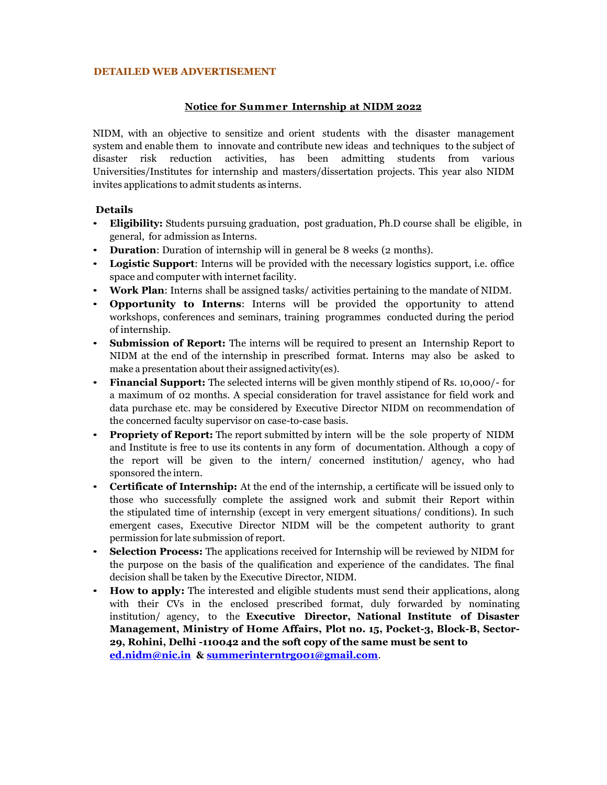#### **DETAILED WEB ADVERTISEMENT**

### **Notice for Summer Internship at NIDM 2022**

NIDM, with an objective to sensitize and orient students with the disaster management system and enable them to innovate and contribute new ideas and techniques to the subject of disaster risk reduction activities, has been admitting students from various Universities/Institutes for internship and masters/dissertation projects. This year also NIDM invites applications to admit students as interns.

### **Details**

- **Eligibility:** Students pursuing graduation, post graduation, Ph.D course shall be eligible, in general, for admission as Interns.
- **Duration**: Duration of internship will in general be 8 weeks (2 months).
- **Logistic Support**: Interns will be provided with the necessary logistics support, i.e. office space and computer with internet facility.
- **Work Plan**: Interns shall be assigned tasks/ activities pertaining to the mandate of NIDM.
- **Opportunity to Interns**: Interns will be provided the opportunity to attend workshops, conferences and seminars, training programmes conducted during the period of internship.
- **Submission of Report:** The interns will be required to present an Internship Report to NIDM at the end of the internship in prescribed format. Interns may also be asked to make a presentation about their assigned activity(es).
- **Financial Support:** The selected interns will be given monthly stipend of Rs. 10,000/- for a maximum of 02 months. A special consideration for travel assistance for field work and data purchase etc. may be considered by Executive Director NIDM on recommendation of the concerned faculty supervisor on case-to-case basis.
- **Propriety of Report:** The report submitted by intern will be the sole property of NIDM and Institute is free to use its contents in any form of documentation. Although a copy of the report will be given to the intern/ concerned institution/ agency, who had sponsored the intern.
- **Certificate of Internship:** At the end of the internship, a certificate will be issued only to those who successfully complete the assigned work and submit their Report within the stipulated time of internship (except in very emergent situations/ conditions). In such emergent cases, Executive Director NIDM will be the competent authority to grant permission for late submission of report.
- **Selection Process:** The applications received for Internship will be reviewed by NIDM for the purpose on the basis of the qualification and experience of the candidates. The final decision shall be taken by the Executive Director, NIDM.
- **How to apply:** The interested and eligible students must send their applications, along with their CVs in the enclosed prescribed format, duly forwarded by nominating institution/ agency, to the **Executive Director, National Institute of Disaster Management, Ministry of Home Affairs, Plot no. 15, Pocket-3, Block-B, Sector-29, Rohini, Delhi -110042 and the soft copy of the same must be sent to [ed.nidm@nic.in](mailto:ed.nidm@nic.in) & [summerinterntrg001@gmail.com](mailto:summerinterntrg001@gmail.com)**.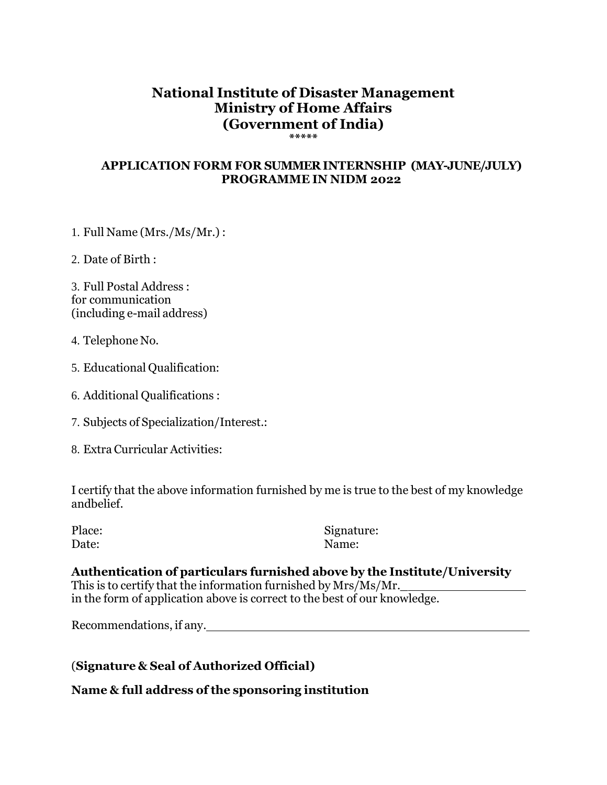# **National Institute of Disaster Management Ministry of Home Affairs (Government of India) \*\*\*\*\***

## **APPLICATION FORM FOR SUMMER INTERNSHIP (MAY-JUNE/JULY) PROGRAMME IN NIDM 2022**

1. Full Name (Mrs./Ms/Mr.) :

2. Date of Birth :

3. Full Postal Address : for communication (including e-mail address)

- 4. Telephone No.
- 5. Educational Qualification:
- 6. Additional Qualifications :
- 7. Subjects of Specialization/Interest.:
- 8. Extra Curricular Activities:

I certify that the above information furnished by me is true to the best of my knowledge andbelief.

| Place: | Signat |
|--------|--------|
| Date:  | Name:  |

Signature:

**Authentication of particulars furnished above by the Institute/University** This is to certify that the information furnished by Mrs/Ms/Mr.\_ in the form of application above is correct to the best of our knowledge.

Recommendations, if any.

(**Signature & Seal of Authorized Official)**

**Name & full address of the sponsoring institution**